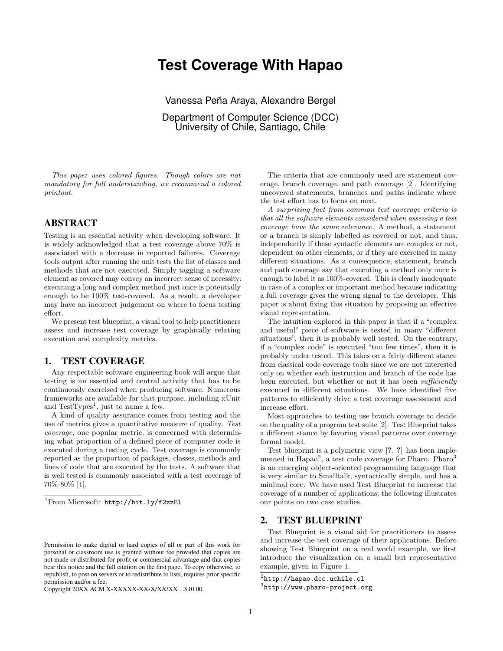# **Test Coverage With Hapao**

Vanessa Peña Araya, Alexandre Bergel

Department of Computer Science (DCC) University of Chile, Santiago, Chile

This paper uses colored figures. Though colors are not mandatory for full understanding, we recommend a colored printout.

## ABSTRACT

Testing is an essential activity when developing software. It is widely acknowledged that a test coverage above 70% is associated with a decrease in reported failures. Coverage tools output after running the unit tests the list of classes and methods that are not executed. Simply tagging a software element as covered may convey an incorrect sense of necessity: executing a long and complex method just once is potentially enough to be 100% test-covered. As a result, a developer may have an incorrect judgement on where to focus testing effort.

We present test blueprint, a visual tool to help practitioners assess and increase test coverage by graphically relating execution and complexity metrics.

# 1. TEST COVERAGE

Any respectable software engineering book will argue that testing is an essential and central activity that has to be continuously exercised when producing software. Numerous frameworks are available for that purpose, including xUnit and  $TestTypes^1$  $TestTypes^1$ , just to name a few.

A kind of quality assurance comes from testing and the use of metrics gives a quantitative measure of quality. Test coverage, one popular metric, is concerned with determining what proportion of a defined piece of computer code is executed during a testing cycle. Test coverage is commonly reported as the proportion of packages, classes, methods and lines of code that are executed by the tests. A software that is well tested is commonly associated with a test coverage of 70%-80% [\[1\]](#page-1-0).

<span id="page-0-0"></span><sup>1</sup>From Microsoft: <http://bit.ly/f2zzEl>

Copyright 20XX ACM X-XXXXX-XX-X/XX/XX ...\$10.00.

The criteria that are commonly used are statement coverage, branch coverage, and path coverage [\[2\]](#page-1-1). Identifying uncovered statements, branches and paths indicate where the test effort has to focus on next.

A surprising fact from common test coverage criteria is that all the software elements considered when assessing a test coverage have the same relevance. A method, a statement or a branch is simply labelled as covered or not, and thus, independently if these syntactic elements are complex or not, dependent on other elements, or if they are exercised in many different situations. As a consequence, statement, branch and path coverage say that executing a method only once is enough to label it as 100%-covered. This is clearly inadequate in case of a complex or important method because indicating a full coverage gives the wrong signal to the developer. This paper is about fixing this situation by proposing an effective visual representation.

The intuition explored in this paper is that if a "complex and useful" piece of software is tested in many "different situations", then it is probably well tested. On the contrary, if a "complex code" is executed "too few times", then it is probably under tested. This takes on a fairly different stance from classical code coverage tools since we are not interested only on whether each instruction and branch of the code has been executed, but whether or not it has been *sufficiently* executed in different situations. We have identified five patterns to efficiently drive a test coverage assessment and increase effort.

Most approaches to testing use branch coverage to decide on the quality of a program test suite [\[2\]](#page-1-1). Test Blueprint takes a different stance by favoring visual patterns over coverage formal model.

Test blueprint is a polymetric view [?, ?] has been imple-mented in Hapao<sup>[2](#page-0-1)</sup>, a test code coverage for Pharo. Pharo<sup>[3](#page-0-2)</sup> is an emerging object-oriented programming language that is very similar to Smalltalk, syntactically simple, and has a minimal core. We have used Test Blueprint to increase the coverage of a number of applications; the following illustrates our points on two case studies.

#### 2. TEST BLUEPRINT

Test Blueprint is a visual aid for practitioners to assess and increase the test coverage of their applications. Before showing Test Blueprint on a real world example, we first introduce the visualization on a small but representative example, given in [Figure 1.](#page-1-2)

Permission to make digital or hard copies of all or part of this work for personal or classroom use is granted without fee provided that copies are not made or distributed for profit or commercial advantage and that copies bear this notice and the full citation on the first page. To copy otherwise, to republish, to post on servers or to redistribute to lists, requires prior specific permission and/or a fee.

<span id="page-0-1"></span> $^{2}$ <http://hapao.dcc.uchile.cl>

<span id="page-0-2"></span> ${}^{3}$ <http://www.pharo-project.org>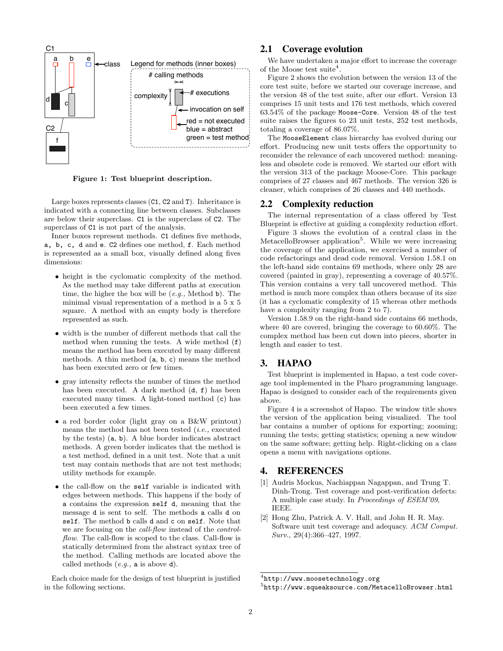<span id="page-1-2"></span>

Figure 1: Test blueprint description.

Large boxes represents classes (C1, C2 and T). Inheritance is indicated with a connecting line between classes. Subclasses are below their superclass. C1 is the superclass of C2. The superclass of C1 is not part of the analysis.

Inner boxes represent methods. C1 defines five methods, a, b, c, d and e. C2 defines one method, f. Each method is represented as a small box, visually defined along fives dimensions:

- height is the cyclomatic complexity of the method. As the method may take different paths at execution time, the higher the box will be  $(e.g.,$  Method b). The minimal visual representation of a method is a 5 x 5 square. A method with an empty body is therefore represented as such.
- width is the number of different methods that call the method when running the tests. A wide method (f) means the method has been executed by many different methods. A thin method (a, b, c) means the method has been executed zero or few times.
- gray intensity reflects the number of times the method has been executed. A dark method (d, f) has been executed many times. A light-toned method (c) has been executed a few times.
- a red border color (light gray on a B&W printout) means the method has not been tested (i.e., executed by the tests) (a, b). A blue border indicates abstract methods. A green border indicates that the method is a test method, defined in a unit test. Note that a unit test may contain methods that are not test methods; utility methods for example.
- the call-flow on the self variable is indicated with edges between methods. This happens if the body of a contains the expression self d, meaning that the message d is sent to self. The methods a calls d on self. The method b calls d and c on self. Note that we are focusing on the call-flow instead of the controlflow. The call-flow is scoped to the class. Call-flow is statically determined from the abstract syntax tree of the method. Calling methods are located above the called methods  $(e,q., a$  is above d).

Each choice made for the design of test blueprint is justified in the following sections.

#### 2.1 Coverage evolution

We have undertaken a major effort to increase the coverage of the Moose test suite<sup>[4](#page-1-3)</sup>.

Figure [2](#page-2-0) shows the evolution between the version 13 of the core test suite, before we started our coverage increase, and the version 48 of the test suite, after our effort. Version 13 comprises 15 unit tests and 176 test methods, which covered 63.54% of the package Moose-Core. Version 48 of the test suite raises the figures to 23 unit tests, 252 test methods, totaling a coverage of 86.07%.

The MooseElement class hierarchy has evolved during our effort. Producing new unit tests offers the opportunity to reconsider the relevance of each uncovered method: meaningless and obsolete code is removed. We started our effort with the version 313 of the package Moose-Core. This package comprises of 27 classes and 467 methods. The version 326 is cleaner, which comprises of 26 classes and 440 methods.

#### 2.2 Complexity reduction

The internal representation of a class offered by Test Blueprint is effective at guiding a complexity reduction effort.

Figure [3](#page-2-1) shows the evolution of a central class in the MetacelloBrowser application<sup>[5](#page-1-4)</sup>. While we were increasing the coverage of the application, we exercised a number of code refactorings and dead code removal. Version 1.58.1 on the left-hand side contains 69 methods, where only 28 are covered (painted in gray), representing a coverage of 40.57%. This version contains a very tall uncovered method. This method is much more complex than others because of its size (it has a cyclomatic complexity of 15 whereas other methods have a complexity ranging from 2 to 7).

Version 1.58.9 on the right-hand side contains 66 methods, where 40 are covered, bringing the coverage to 60.60%. The complex method has been cut down into pieces, shorter in length and easier to test.

#### 3. HAPAO

Test blueprint is implemented in Hapao, a test code coverage tool implemented in the Pharo programming language. Hapao is designed to consider each of the requirements given above.

Figure [4](#page-3-0) is a screenshot of Hapao. The window title shows the version of the application being visualized. The tool bar contains a number of options for exporting; zooming; running the tests; getting statistics; opening a new window on the same software; getting help. Right-clicking on a class opens a menu with navigations options.

## 4. REFERENCES

- <span id="page-1-0"></span>[1] Audris Mockus, Nachiappan Nagappan, and Trung T. Dinh-Trong. Test coverage and post-verification defects: A multiple case study. In Proceedings of ESEM'09, IEEE.
- <span id="page-1-1"></span>[2] Hong Zhu, Patrick A. V. Hall, and John H. R. May. Software unit test coverage and adequacy. ACM Comput. Surv., 29(4):366–427, 1997.

<span id="page-1-3"></span> $^4$ <http://www.moosetechnology.org>

<span id="page-1-4"></span> $^{5}$ <http://www.squeaksource.com/MetacelloBrowser.html>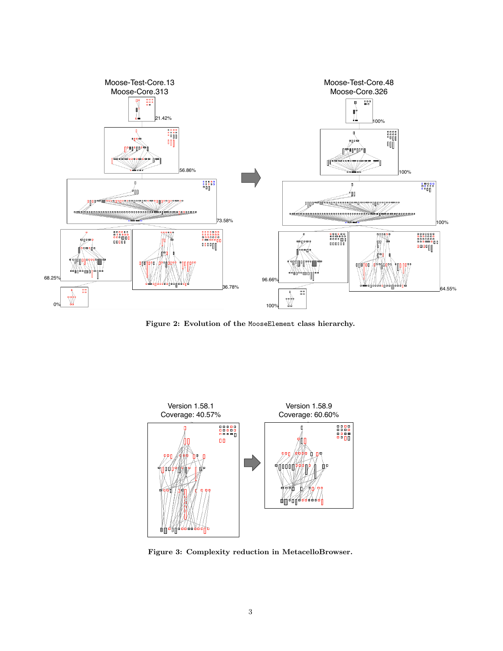<span id="page-2-0"></span>

Figure 2: Evolution of the MooseElement class hierarchy.

<span id="page-2-1"></span>

Figure 3: Complexity reduction in MetacelloBrowser.